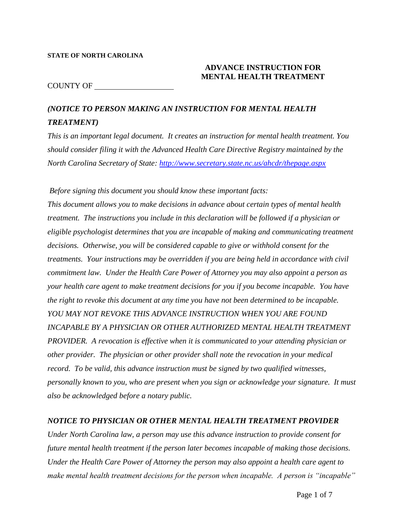#### **STATE OF NORTH CAROLINA**

### **ADVANCE INSTRUCTION FOR MENTAL HEALTH TREATMENT**

COUNTY OF

# *(NOTICE TO PERSON MAKING AN INSTRUCTION FOR MENTAL HEALTH TREATMENT)*

*This is an important legal document. It creates an instruction for mental health treatment. You should consider filing it with the Advanced Health Care Directive Registry maintained by the North Carolina Secretary of State: [http://www.secretary.state.nc.us/ahcdr/thepage.aspx](https://www.sosnc.gov/divisions/advance_healthcare_directives)*

*Before signing this document you should know these important facts:*

*This document allows you to make decisions in advance about certain types of mental health treatment. The instructions you include in this declaration will be followed if a physician or eligible psychologist determines that you are incapable of making and communicating treatment decisions. Otherwise, you will be considered capable to give or withhold consent for the treatments. Your instructions may be overridden if you are being held in accordance with civil commitment law. Under the Health Care Power of Attorney you may also appoint a person as your health care agent to make treatment decisions for you if you become incapable. You have the right to revoke this document at any time you have not been determined to be incapable. YOU MAY NOT REVOKE THIS ADVANCE INSTRUCTION WHEN YOU ARE FOUND INCAPABLE BY A PHYSICIAN OR OTHER AUTHORIZED MENTAL HEALTH TREATMENT PROVIDER. A revocation is effective when it is communicated to your attending physician or other provider. The physician or other provider shall note the revocation in your medical record. To be valid, this advance instruction must be signed by two qualified witnesses, personally known to you, who are present when you sign or acknowledge your signature. It must also be acknowledged before a notary public.*

#### *NOTICE TO PHYSICIAN OR OTHER MENTAL HEALTH TREATMENT PROVIDER*

*Under North Carolina law, a person may use this advance instruction to provide consent for future mental health treatment if the person later becomes incapable of making those decisions. Under the Health Care Power of Attorney the person may also appoint a health care agent to make mental health treatment decisions for the person when incapable. A person is "incapable"*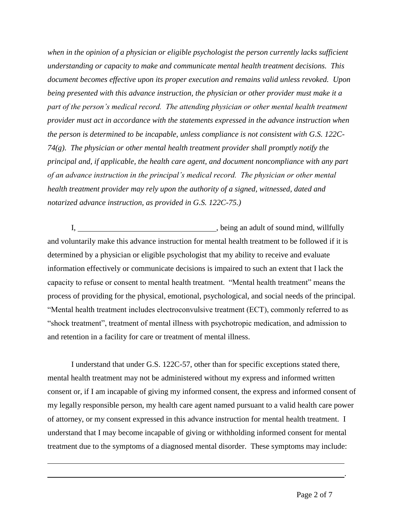*when in the opinion of a physician or eligible psychologist the person currently lacks sufficient understanding or capacity to make and communicate mental health treatment decisions. This document becomes effective upon its proper execution and remains valid unless revoked. Upon being presented with this advance instruction, the physician or other provider must make it a part of the person's medical record. The attending physician or other mental health treatment provider must act in accordance with the statements expressed in the advance instruction when the person is determined to be incapable, unless compliance is not consistent with G.S. 122C-74(g). The physician or other mental health treatment provider shall promptly notify the principal and, if applicable, the health care agent, and document noncompliance with any part of an advance instruction in the principal's medical record. The physician or other mental health treatment provider may rely upon the authority of a signed, witnessed, dated and notarized advance instruction, as provided in G.S. 122C-75.)*

I, being an adult of sound mind, willfully and voluntarily make this advance instruction for mental health treatment to be followed if it is determined by a physician or eligible psychologist that my ability to receive and evaluate information effectively or communicate decisions is impaired to such an extent that I lack the capacity to refuse or consent to mental health treatment. "Mental health treatment" means the process of providing for the physical, emotional, psychological, and social needs of the principal. "Mental health treatment includes electroconvulsive treatment (ECT), commonly referred to as "shock treatment", treatment of mental illness with psychotropic medication, and admission to and retention in a facility for care or treatment of mental illness.

I understand that under G.S. 122C-57, other than for specific exceptions stated there, mental health treatment may not be administered without my express and informed written consent or, if I am incapable of giving my informed consent, the express and informed consent of my legally responsible person, my health care agent named pursuant to a valid health care power of attorney, or my consent expressed in this advance instruction for mental health treatment. I understand that I may become incapable of giving or withholding informed consent for mental treatment due to the symptoms of a diagnosed mental disorder. These symptoms may include:

.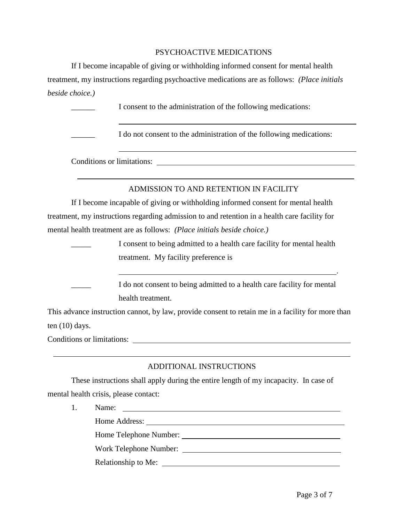#### PSYCHOACTIVE MEDICATIONS

If I become incapable of giving or withholding informed consent for mental health treatment, my instructions regarding psychoactive medications are as follows: *(Place initials beside choice.)*

I consent to the administration of the following medications:

I do not consent to the administration of the following medications:

Conditions or limitations:

# ADMISSION TO AND RETENTION IN FACILITY

If I become incapable of giving or withholding informed consent for mental health treatment, my instructions regarding admission to and retention in a health care facility for mental health treatment are as follows: *(Place initials beside choice.)*

> I consent to being admitted to a health care facility for mental health treatment. My facility preference is

I do not consent to being admitted to a health care facility for mental health treatment.

This advance instruction cannot, by law, provide consent to retain me in a facility for more than ten (10) days.

Conditions or limitations:

# ADDITIONAL INSTRUCTIONS

These instructions shall apply during the entire length of my incapacity. In case of mental health crisis, please contact:

| Name:<br><u> 1980 - Jan Barbara, manazarta da kasas da kasas da kasas da kasas da kasas da kasas da kasas da kasas da kasa</u> |
|--------------------------------------------------------------------------------------------------------------------------------|
| Home Address:                                                                                                                  |
| Home Telephone Number:                                                                                                         |
| Work Telephone Number:                                                                                                         |
| Relationship to Me:                                                                                                            |

.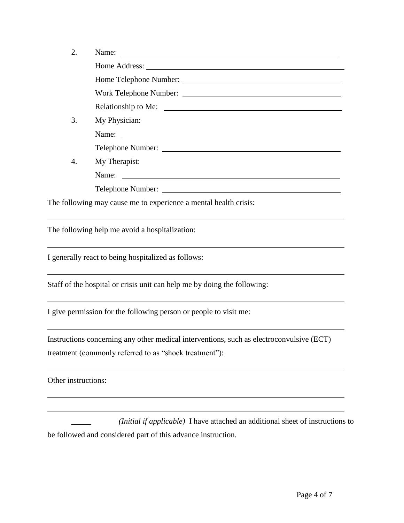| 2. | Name:               |
|----|---------------------|
|    |                     |
|    |                     |
|    |                     |
|    | Relationship to Me: |
| 3. | My Physician:       |
|    |                     |
|    | Telephone Number:   |
| 4. | My Therapist:       |
|    | Name:               |
|    | Telephone Number:   |
|    |                     |

The following may cause me to experience a mental health crisis:

The following help me avoid a hospitalization:

I generally react to being hospitalized as follows:

Staff of the hospital or crisis unit can help me by doing the following:

I give permission for the following person or people to visit me:

Instructions concerning any other medical interventions, such as electroconvulsive (ECT) treatment (commonly referred to as "shock treatment"):

Other instructions:

*(Initial if applicable)* I have attached an additional sheet of instructions to be followed and considered part of this advance instruction.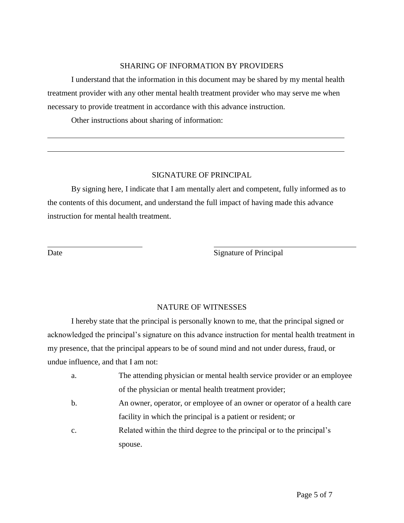#### SHARING OF INFORMATION BY PROVIDERS

I understand that the information in this document may be shared by my mental health treatment provider with any other mental health treatment provider who may serve me when necessary to provide treatment in accordance with this advance instruction.

Other instructions about sharing of information:

#### SIGNATURE OF PRINCIPAL

By signing here, I indicate that I am mentally alert and competent, fully informed as to the contents of this document, and understand the full impact of having made this advance instruction for mental health treatment.

Date Signature of Principal

#### NATURE OF WITNESSES

I hereby state that the principal is personally known to me, that the principal signed or acknowledged the principal's signature on this advance instruction for mental health treatment in my presence, that the principal appears to be of sound mind and not under duress, fraud, or undue influence, and that I am not:

- a. The attending physician or mental health service provider or an employee of the physician or mental health treatment provider;
- b. An owner, operator, or employee of an owner or operator of a health care facility in which the principal is a patient or resident; or
- c. Related within the third degree to the principal or to the principal's spouse.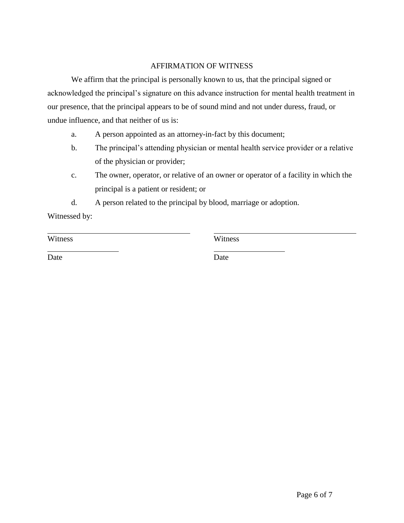# AFFIRMATION OF WITNESS

We affirm that the principal is personally known to us, that the principal signed or acknowledged the principal's signature on this advance instruction for mental health treatment in our presence, that the principal appears to be of sound mind and not under duress, fraud, or undue influence, and that neither of us is:

- a. A person appointed as an attorney-in-fact by this document;
- b. The principal's attending physician or mental health service provider or a relative of the physician or provider;
- c. The owner, operator, or relative of an owner or operator of a facility in which the principal is a patient or resident; or
- d. A person related to the principal by blood, marriage or adoption.

Witnessed by:

Witness Witness

Date Date Date